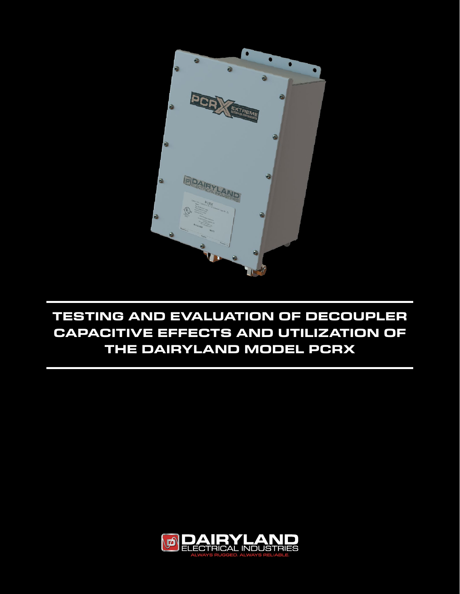

# **TESTING AND EVALUATION OF DECOUPLER CAPACITIVE EFFECTS AND UTILIZATION OF THE DAIRYLAND MODEL PCRX**

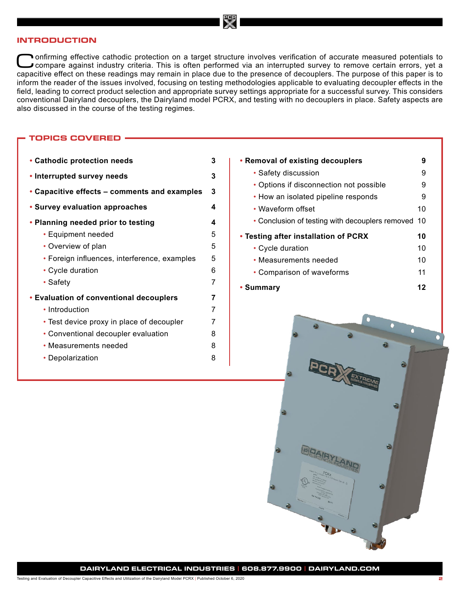#### **INTRODUCTION**

Confirming effective cathodic protection on a target structure involves verification of accurate measured potentials to compare against industry criteria. This is often performed via an interrupted survey to remove certain capacitive effect on these readings may remain in place due to the presence of decouplers. The purpose of this paper is to inform the reader of the issues involved, focusing on testing methodologies applicable to evaluating decoupler effects in the field, leading to correct product selection and appropriate survey settings appropriate for a successful survey. This considers conventional Dairyland decouplers, the Dairyland model PCRX, and testing with no decouplers in place. Safety aspects are also discussed in the course of the testing regimes.

# **TOPICS COVERED**

| • Cathodic protection needs                  | 3 |
|----------------------------------------------|---|
| • Interrupted survey needs                   | 3 |
| • Capacitive effects – comments and examples | 3 |
| • Survey evaluation approaches               | 4 |
| • Planning needed prior to testing           | 4 |
| • Equipment needed                           | 5 |
| • Overview of plan                           | 5 |
| • Foreign influences, interference, examples | 5 |
| • Cycle duration                             | 6 |
| • Safety                                     | 7 |
| • Evaluation of conventional decouplers      | 7 |
| • Introduction                               | 7 |
| • Test device proxy in place of decoupler    | 7 |
| • Conventional decoupler evaluation          | 8 |
| • Measurements needed                        | 8 |
| • Depolarization                             | 8 |
|                                              |   |

**[• Removal of existing decouplers](#page-8-0) 9** [• Safety discussion](#page-8-0) 9 [• Options if disconnection not possible 9](#page-8-0) [• How an isolated pipeline responds](#page-8-0) 9 [• Waveform offset](#page-9-0) 10 [• Conclusion of testing with decouplers removed](#page-9-0) 10 **[• Testing after installation of PCRX](#page-9-0) 10** [• Cycle duration](#page-9-0) 10 [• Measurements needed](#page-9-0) 10 [• Comparison of waveforms](#page-10-0) 11 **[• Summary](#page-11-0) 12**

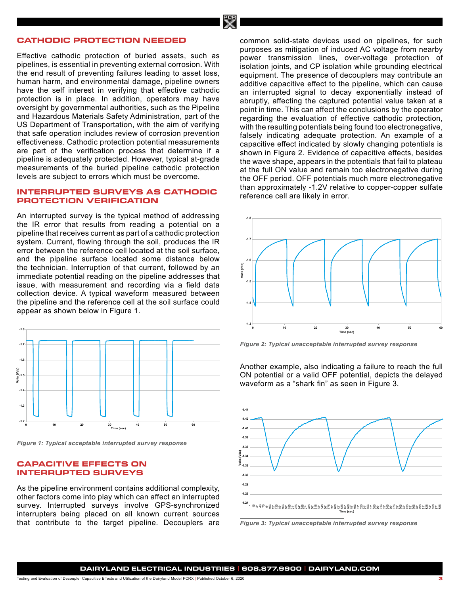# <span id="page-2-0"></span>**CATHODIC PROTECTION NEEDED**

Effective cathodic protection of buried assets, such as pipelines, is essential in preventing external corrosion. With the end result of preventing failures leading to asset loss, human harm, and environmental damage, pipeline owners have the self interest in verifying that effective cathodic protection is in place. In addition, operators may have oversight by governmental authorities, such as the Pipeline and Hazardous Materials Safety Administration, part of the US Department of Transportation, with the aim of verifying that safe operation includes review of corrosion prevention effectiveness. Cathodic protection potential measurements are part of the verification process that determine if a pipeline is adequately protected. However, typical at-grade measurements of the buried pipeline cathodic protection levels are subject to errors which must be overcome.

### **INTERRUPTED SURVEYS AS CATHODIC PROTECTION VERIFICATION**

An interrupted survey is the typical method of addressing the IR error that results from reading a potential on a pipeline that receives current as part of a cathodic protection system. Current, flowing through the soil, produces the IR error between the reference cell located at the soil surface, and the pipeline surface located some distance below the technician. Interruption of that current, followed by an immediate potential reading on the pipeline addresses that issue, with measurement and recording via a field data collection device. A typical waveform measured between the pipeline and the reference cell at the soil surface could appear as shown below in Figure 1.



*Figure 1: Typical acceptable interrupted survey response*

#### **CAPACITIVE EFFECTS ON INTERRUPTED SURVEYS**

As the pipeline environment contains additional complexity, other factors come into play which can affect an interrupted survey. Interrupted surveys involve GPS-synchronized interrupters being placed on all known current sources that contribute to the target pipeline. Decouplers are

common solid-state devices used on pipelines, for such purposes as mitigation of induced AC voltage from nearby power transmission lines, over-voltage protection of isolation joints, and CP isolation while grounding electrical equipment. The presence of decouplers may contribute an additive capacitive effect to the pipeline, which can cause an interrupted signal to decay exponentially instead of abruptly, affecting the captured potential value taken at a point in time. This can affect the conclusions by the operator regarding the evaluation of effective cathodic protection, with the resulting potentials being found too electronegative, falsely indicating adequate protection. An example of a capacitive effect indicated by slowly changing potentials is shown in Figure 2. Evidence of capacitive effects, besides the wave shape, appears in the potentials that fail to plateau at the full ON value and remain too electronegative during the OFF period. OFF potentials much more electronegative than approximately -1.2V relative to copper-copper sulfate reference cell are likely in error.



*Figure 2: Typical unacceptable interrupted survey response*

Another example, also indicating a failure to reach the full ON potential or a valid OFF potential, depicts the delayed waveform as a "shark fin" as seen in Figure 3.



*Figure 3: Typical unacceptable interrupted survey response*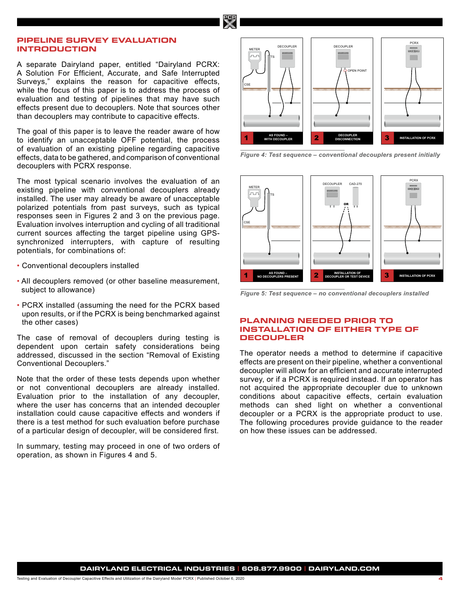# <span id="page-3-0"></span>**PIPELINE SURVEY EVALUATION INTRODUCTION**

A separate Dairyland paper, entitled "Dairyland PCRX: A Solution For Efficient, Accurate, and Safe Interrupted Surveys," explains the reason for capacitive effects, while the focus of this paper is to address the process of evaluation and testing of pipelines that may have such effects present due to decouplers. Note that sources other than decouplers may contribute to capacitive effects.

The goal of this paper is to leave the reader aware of how to identify an unacceptable OFF potential, the process of evaluation of an existing pipeline regarding capacitive effects, data to be gathered, and comparison of conventional decouplers with PCRX response.

The most typical scenario involves the evaluation of an existing pipeline with conventional decouplers already installed. The user may already be aware of unacceptable polarized potentials from past surveys, such as typical responses seen in Figures 2 and 3 on the previous page. Evaluation involves interruption and cycling of all traditional current sources affecting the target pipeline using GPSsynchronized interrupters, with capture of resulting potentials, for combinations of:

- Conventional decouplers installed
- All decouplers removed (or other baseline measurement, subject to allowance)
- PCRX installed (assuming the need for the PCRX based upon results, or if the PCRX is being benchmarked against the other cases)

The case of removal of decouplers during testing is dependent upon certain safety considerations being addressed, discussed in the section "Removal of Existing Conventional Decouplers."

Note that the order of these tests depends upon whether or not conventional decouplers are already installed. Evaluation prior to the installation of any decoupler, where the user has concerns that an intended decoupler installation could cause capacitive effects and wonders if there is a test method for such evaluation before purchase of a particular design of decoupler, will be considered first.

In summary, testing may proceed in one of two orders of operation, as shown in Figures 4 and 5.



**TEST SEQUENCE** 

**Figure 4: Test sequence - conventional decouplers present initially No decouplers present in the set of the set of the set of the set of the set of the set of the set of the set of the set of the set of the set of the set of the set of the set of the set of the set of the set of the set o** 



*Figure 5: Test sequence – no conventional decouplers installed*

# **PLANNING NEEDED PRIOR TO INSTALLATION OF EITHER TYPE OF DECOUPLER**

The operator needs a method to determine if capacitive effects are present on their pipeline, whether a conventional decoupler will allow for an efficient and accurate interrupted survey, or if a PCRX is required instead. If an operator has not acquired the appropriate decoupler due to unknown conditions about capacitive effects, certain evaluation methods can shed light on whether a conventional decoupler or a PCRX is the appropriate product to use. The following procedures provide guidance to the reader on how these issues can be addressed.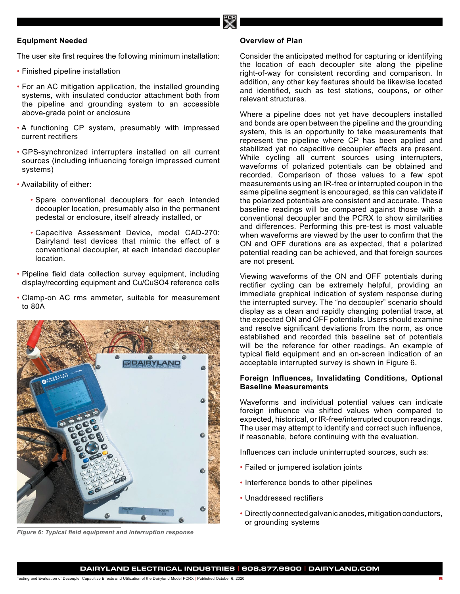# <span id="page-4-0"></span>**Equipment Needed**

The user site first requires the following minimum installation:

- Finished pipeline installation
- For an AC mitigation application, the installed grounding systems, with insulated conductor attachment both from the pipeline and grounding system to an accessible above-grade point or enclosure
- A functioning CP system, presumably with impressed current rectifiers
- GPS-synchronized interrupters installed on all current sources (including influencing foreign impressed current systems)
- Availability of either:
	- Spare conventional decouplers for each intended decoupler location, presumably also in the permanent pedestal or enclosure, itself already installed, or
	- Capacitive Assessment Device, model CAD-270: Dairyland test devices that mimic the effect of a conventional decoupler, at each intended decoupler location.
- Pipeline field data collection survey equipment, including display/recording equipment and Cu/CuSO4 reference cells
- Clamp-on AC rms ammeter, suitable for measurement to 80A



*Figure 6: Typical field equipment and interruption response*

#### **Overview of Plan**

Consider the anticipated method for capturing or identifying the location of each decoupler site along the pipeline right-of-way for consistent recording and comparison. In addition, any other key features should be likewise located and identified, such as test stations, coupons, or other relevant structures.

Where a pipeline does not yet have decouplers installed and bonds are open between the pipeline and the grounding system, this is an opportunity to take measurements that represent the pipeline where CP has been applied and stabilized yet no capacitive decoupler effects are present. While cycling all current sources using interrupters, waveforms of polarized potentials can be obtained and recorded. Comparison of those values to a few spot measurements using an IR-free or interrupted coupon in the same pipeline segment is encouraged, as this can validate if the polarized potentials are consistent and accurate. These baseline readings will be compared against those with a conventional decoupler and the PCRX to show similarities and differences. Performing this pre-test is most valuable when waveforms are viewed by the user to confirm that the ON and OFF durations are as expected, that a polarized potential reading can be achieved, and that foreign sources are not present.

Viewing waveforms of the ON and OFF potentials during rectifier cycling can be extremely helpful, providing an immediate graphical indication of system response during the interrupted survey. The "no decoupler" scenario should display as a clean and rapidly changing potential trace, at the expected ON and OFF potentials. Users should examine and resolve significant deviations from the norm, as once established and recorded this baseline set of potentials will be the reference for other readings. An example of typical field equipment and an on-screen indication of an acceptable interrupted survey is shown in Figure 6.

# **Foreign Influences, Invalidating Conditions, Optional Baseline Measurements**

Waveforms and individual potential values can indicate foreign influence via shifted values when compared to expected, historical, or IR-free/interrupted coupon readings. The user may attempt to identify and correct such influence, if reasonable, before continuing with the evaluation.

Influences can include uninterrupted sources, such as:

- Failed or jumpered isolation joints
- Interference bonds to other pipelines
- Unaddressed rectifiers
- Directly connected galvanic anodes, mitigation conductors, or grounding systems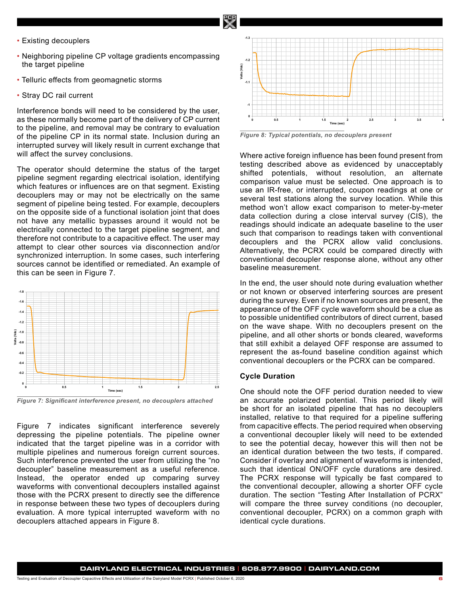- <span id="page-5-0"></span>• Existing decouplers
- Neighboring pipeline CP voltage gradients encompassing the target pipeline
- Telluric effects from geomagnetic storms
- Stray DC rail current

Interference bonds will need to be considered by the user, as these normally become part of the delivery of CP current to the pipeline, and removal may be contrary to evaluation of the pipeline CP in its normal state. Inclusion during an interrupted survey will likely result in current exchange that will affect the survey conclusions.

The operator should determine the status of the target pipeline segment regarding electrical isolation, identifying which features or influences are on that segment. Existing decouplers may or may not be electrically on the same segment of pipeline being tested. For example, decouplers on the opposite side of a functional isolation joint that does not have any metallic bypasses around it would not be electrically connected to the target pipeline segment, and therefore not contribute to a capacitive effect. The user may attempt to clear other sources via disconnection and/or synchronized interruption. In some cases, such interfering sources cannot be identified or remediated. An example of this can be seen in Figure 7.



*Figure 7: Significant interference present, no decouplers attached*

Figure 7 indicates significant interference severely depressing the pipeline potentials. The pipeline owner indicated that the target pipeline was in a corridor with multiple pipelines and numerous foreign current sources. Such interference prevented the user from utilizing the "no decoupler" baseline measurement as a useful reference. Instead, the operator ended up comparing survey waveforms with conventional decouplers installed against those with the PCRX present to directly see the difference in response between these two types of decouplers during evaluation. A more typical interrupted waveform with no decouplers attached appears in Figure 8.



*Figure 8: Typical potentials, no decouplers present*

Where active foreign influence has been found present from testing described above as evidenced by unacceptably shifted potentials, without resolution, an alternate comparison value must be selected. One approach is to use an IR-free, or interrupted, coupon readings at one or several test stations along the survey location. While this method won't allow exact comparison to meter-by-meter data collection during a close interval survey (CIS), the readings should indicate an adequate baseline to the user such that comparison to readings taken with conventional decouplers and the PCRX allow valid conclusions. Alternatively, the PCRX could be compared directly with conventional decoupler response alone, without any other baseline measurement.

In the end, the user should note during evaluation whether or not known or observed interfering sources are present during the survey. Even if no known sources are present, the appearance of the OFF cycle waveform should be a clue as to possible unidentified contributors of direct current, based on the wave shape. With no decouplers present on the pipeline, and all other shorts or bonds cleared, waveforms that still exhibit a delayed OFF response are assumed to represent the as-found baseline condition against which conventional decouplers or the PCRX can be compared.

#### **Cycle Duration**

One should note the OFF period duration needed to view an accurate polarized potential. This period likely will be short for an isolated pipeline that has no decouplers installed, relative to that required for a pipeline suffering from capacitive effects. The period required when observing a conventional decoupler likely will need to be extended to see the potential decay, however this will then not be an identical duration between the two tests, if compared. Consider if overlay and alignment of waveforms is intended, such that identical ON/OFF cycle durations are desired. The PCRX response will typically be fast compared to the conventional decoupler, allowing a shorter OFF cycle duration. The section "Testing After Installation of PCRX" will compare the three survey conditions (no decoupler, conventional decoupler, PCRX) on a common graph with identical cycle durations.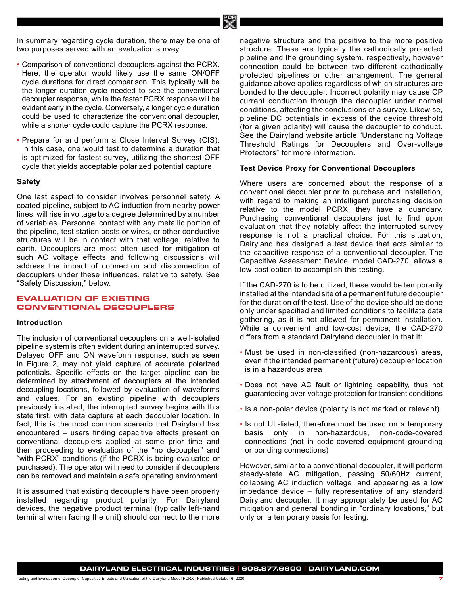<span id="page-6-0"></span>In summary regarding cycle duration, there may be one of two purposes served with an evaluation survey.

- Comparison of conventional decouplers against the PCRX. Here, the operator would likely use the same ON/OFF cycle durations for direct comparison. This typically will be the longer duration cycle needed to see the conventional decoupler response, while the faster PCRX response will be evident early in the cycle. Conversely, a longer cycle duration could be used to characterize the conventional decoupler, while a shorter cycle could capture the PCRX response.
- Prepare for and perform a Close Interval Survey (CIS): In this case, one would test to determine a duration that is optimized for fastest survey, utilizing the shortest OFF cycle that yields acceptable polarized potential capture.

#### **Safety**

One last aspect to consider involves personnel safety. A coated pipeline, subject to AC induction from nearby power lines, will rise in voltage to a degree determined by a number of variables. Personnel contact with any metallic portion of the pipeline, test station posts or wires, or other conductive structures will be in contact with that voltage, relative to earth. Decouplers are most often used for mitigation of such AC voltage effects and following discussions will address the impact of connection and disconnection of decouplers under these influences, relative to safety. See "Safety Discussion," below.

# **EVALUATION OF EXISTING CONVENTIONAL DECOUPLERS**

#### **Introduction**

The inclusion of conventional decouplers on a well-isolated pipeline system is often evident during an interrupted survey. Delayed OFF and ON waveform response, such as seen in Figure 2, may not yield capture of accurate polarized potentials. Specific effects on the target pipeline can be determined by attachment of decouplers at the intended decoupling locations, followed by evaluation of waveforms and values. For an existing pipeline with decouplers previously installed, the interrupted survey begins with this state first, with data capture at each decoupler location. In fact, this is the most common scenario that Dairyland has encountered – users finding capacitive effects present on conventional decouplers applied at some prior time and then proceeding to evaluation of the "no decoupler" and "with PCRX" conditions (if the PCRX is being evaluated or purchased). The operator will need to consider if decouplers can be removed and maintain a safe operating environment.

It is assumed that existing decouplers have been properly installed regarding product polarity. For Dairyland devices, the negative product terminal (typically left-hand terminal when facing the unit) should connect to the more negative structure and the positive to the more positive structure. These are typically the cathodically protected pipeline and the grounding system, respectively, however connection could be between two different cathodically protected pipelines or other arrangement. The general guidance above applies regardless of which structures are bonded to the decoupler. Incorrect polarity may cause CP current conduction through the decoupler under normal conditions, affecting the conclusions of a survey. Likewise, pipeline DC potentials in excess of the device threshold (for a given polarity) will cause the decoupler to conduct. See the Dairyland website article "Understanding Voltage Threshold Ratings for Decouplers and Over-voltage Protectors" for more information.

#### **Test Device Proxy for Conventional Decouplers**

Where users are concerned about the response of a conventional decoupler prior to purchase and installation, with regard to making an intelligent purchasing decision relative to the model PCRX, they have a quandary. Purchasing conventional decouplers just to find upon evaluation that they notably affect the interrupted survey response is not a practical choice. For this situation, Dairyland has designed a test device that acts similar to the capacitive response of a conventional decoupler. The Capacitive Assessment Device, model CAD-270, allows a low-cost option to accomplish this testing.

If the CAD-270 is to be utilized, these would be temporarily installed at the intended site of a permanent future decoupler for the duration of the test. Use of the device should be done only under specified and limited conditions to facilitate data gathering, as it is not allowed for permanent installation. While a convenient and low-cost device, the CAD-270 differs from a standard Dairyland decoupler in that it:

- Must be used in non-classified (non-hazardous) areas, even if the intended permanent (future) decoupler location is in a hazardous area
- Does not have AC fault or lightning capability, thus not guaranteeing over-voltage protection for transient conditions
- Is a non-polar device (polarity is not marked or relevant)
- Is not UL-listed, therefore must be used on a temporary basis only in non-hazardous, non-code-covered connections (not in code-covered equipment grounding or bonding connections)

However, similar to a conventional decoupler, it will perform steady-state AC mitigation, passing 50/60Hz current, collapsing AC induction voltage, and appearing as a low impedance device – fully representative of any standard Dairyland decoupler. It may appropriately be used for AC mitigation and general bonding in "ordinary locations," but only on a temporary basis for testing.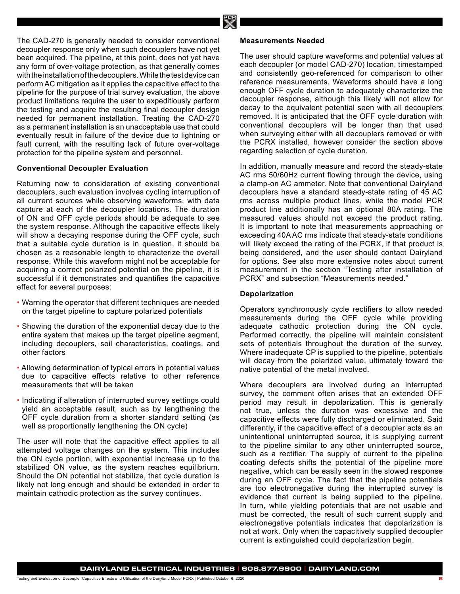<span id="page-7-0"></span>The CAD-270 is generally needed to consider conventional decoupler response only when such decouplers have not yet been acquired. The pipeline, at this point, does not yet have any form of over-voltage protection, as that generally comes with the installation of the decouplers. While the test device can perform AC mitigation as it applies the capacitive effect to the pipeline for the purpose of trial survey evaluation, the above product limitations require the user to expeditiously perform the testing and acquire the resulting final decoupler design needed for permanent installation. Treating the CAD-270 as a permanent installation is an unacceptable use that could eventually result in failure of the device due to lightning or fault current, with the resulting lack of future over-voltage protection for the pipeline system and personnel.

#### **Conventional Decoupler Evaluation**

Returning now to consideration of existing conventional decouplers, such evaluation involves cycling interruption of all current sources while observing waveforms, with data capture at each of the decoupler locations. The duration of ON and OFF cycle periods should be adequate to see the system response. Although the capacitive effects likely will show a decaying response during the OFF cycle, such that a suitable cycle duration is in question, it should be chosen as a reasonable length to characterize the overall response. While this waveform might not be acceptable for acquiring a correct polarized potential on the pipeline, it is successful if it demonstrates and quantifies the capacitive effect for several purposes:

- Warning the operator that different techniques are needed on the target pipeline to capture polarized potentials
- Showing the duration of the exponential decay due to the entire system that makes up the target pipeline segment, including decouplers, soil characteristics, coatings, and other factors
- Allowing determination of typical errors in potential values due to capacitive effects relative to other reference measurements that will be taken
- Indicating if alteration of interrupted survey settings could yield an acceptable result, such as by lengthening the OFF cycle duration from a shorter standard setting (as well as proportionally lengthening the ON cycle)

The user will note that the capacitive effect applies to all attempted voltage changes on the system. This includes the ON cycle portion, with exponential increase up to the stabilized ON value, as the system reaches equilibrium. Should the ON potential not stabilize, that cycle duration is likely not long enough and should be extended in order to maintain cathodic protection as the survey continues.

## **Measurements Needed**

The user should capture waveforms and potential values at each decoupler (or model CAD-270) location, timestamped and consistently geo-referenced for comparison to other reference measurements. Waveforms should have a long enough OFF cycle duration to adequately characterize the decoupler response, although this likely will not allow for decay to the equivalent potential seen with all decouplers removed. It is anticipated that the OFF cycle duration with conventional decouplers will be longer than that used when surveying either with all decouplers removed or with the PCRX installed, however consider the section above regarding selection of cycle duration.

In addition, manually measure and record the steady-state AC rms 50/60Hz current flowing through the device, using a clamp-on AC ammeter. Note that conventional Dairyland decouplers have a standard steady-state rating of 45 AC rms across multiple product lines, while the model PCR product line additionally has an optional 80A rating. The measured values should not exceed the product rating. It is important to note that measurements approaching or exceeding 40A AC rms indicate that steady-state conditions will likely exceed the rating of the PCRX, if that product is being considered, and the user should contact Dairyland for options. See also more extensive notes about current measurement in the section "Testing after installation of PCRX" and subsection "Measurements needed."

## **Depolarization**

Operators synchronously cycle rectifiers to allow needed measurements during the OFF cycle while providing adequate cathodic protection during the ON cycle. Performed correctly, the pipeline will maintain consistent sets of potentials throughout the duration of the survey. Where inadequate CP is supplied to the pipeline, potentials will decay from the polarized value, ultimately toward the native potential of the metal involved.

Where decouplers are involved during an interrupted survey, the comment often arises that an extended OFF period may result in depolarization. This is generally not true, unless the duration was excessive and the capacitive effects were fully discharged or eliminated. Said differently, if the capacitive effect of a decoupler acts as an unintentional uninterrupted source, it is supplying current to the pipeline similar to any other uninterrupted source, such as a rectifier. The supply of current to the pipeline coating defects shifts the potential of the pipeline more negative, which can be easily seen in the slowed response during an OFF cycle. The fact that the pipeline potentials are too electronegative during the interrupted survey is evidence that current is being supplied to the pipeline. In turn, while yielding potentials that are not usable and must be corrected, the result of such current supply and electronegative potentials indicates that depolarization is not at work. Only when the capacitively supplied decoupler current is extinguished could depolarization begin.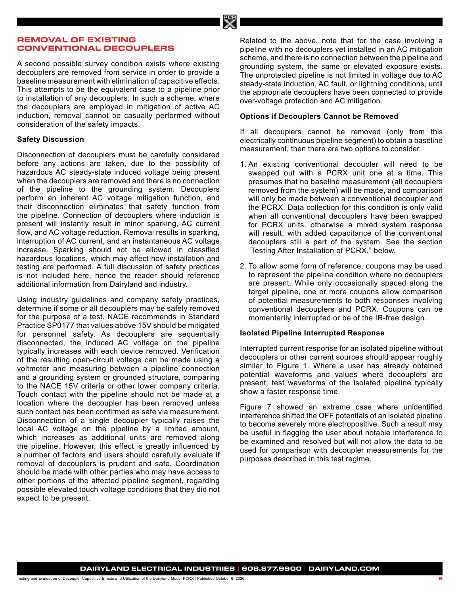# <span id="page-8-0"></span>**REMOVAL OF EXISTING CONVENTIONAL DECOUPLERS**

A second possible survey condition exists where existing decouplers are removed from service in order to provide a baseline measurement with elimination of capacitive effects. This attempts to be the equivalent case to a pipeline prior to installation of any decouplers. In such a scheme, where the decouplers are employed in mitigation of active AC induction, removal cannot be casually performed without consideration of the safety impacts.

# **Safety Discussion**

Disconnection of decouplers must be carefully considered before any actions are taken, due to the possibility of hazardous AC steady-state induced voltage being present when the decouplers are removed and there is no connection of the pipeline to the grounding system. Decouplers perform an inherent AC voltage mitigation function, and their disconnection eliminates that safety function from the pipeline. Connection of decouplers where induction is present will instantly result in minor sparking, AC current flow, and AC voltage reduction. Removal results in sparking, interruption of AC current, and an instantaneous AC voltage increase. Sparking should not be allowed in classified hazardous locations, which may affect how installation and testing are performed. A full discussion of safety practices is not included here, hence the reader should reference additional information from Dairyland and industry.

Using industry guidelines and company safety practices, determine if some or all decouplers may be safely removed for the purpose of a test. NACE recommends in Standard Practice SP0177 that values above 15V should be mitigated for personnel safety. As decouplers are sequentially disconnected, the induced AC voltage on the pipeline typically increases with each device removed. Verification of the resulting open-circuit voltage can be made using a voltmeter and measuring between a pipeline connection and a grounding system or grounded structure, comparing to the NACE 15V criteria or other lower company criteria. Touch contact with the pipeline should not be made at a location where the decoupler has been removed unless such contact has been confirmed as safe via measurement. Disconnection of a single decoupler typically raises the local AC voltage on the pipeline by a limited amount, which increases as additional units are removed along the pipeline. However, this effect is greatly influenced by a number of factors and users should carefully evaluate if removal of decouplers is prudent and safe. Coordination should be made with other parties who may have access to other portions of the affected pipeline segment, regarding possible elevated touch voltage conditions that they did not expect to be present.

Related to the above, note that for the case involving a pipeline with no decouplers yet installed in an AC mitigation scheme, and there is no connection between the pipeline and grounding system, the same or elevated exposure exists. The unprotected pipeline is not limited in voltage due to AC steady-state induction, AC fault, or lightning conditions, until the appropriate decouplers have been connected to provide over-voltage protection and AC mitigation.

# **Options if Decouplers Cannot be Removed**

If all decouplers cannot be removed (only from this electrically continuous pipeline segment) to obtain a baseline measurement, then there are two options to consider.

- 1. An existing conventional decoupler will need to be swapped out with a PCRX unit one at a time. This presumes that no baseline measurement (all decouplers removed from the system) will be made, and comparison will only be made between a conventional decoupler and the PCRX. Data collection for this condition is only valid when all conventional decouplers have been swapped for PCRX units, otherwise a mixed system response will result, with added capacitance of the conventional decouplers still a part of the system. See the section "Testing After Installation of PCRX," below.
- 2. To allow some form of reference, coupons may be used to represent the pipeline condition where no decouplers are present. While only occasionally spaced along the target pipeline, one or more coupons allow comparison of potential measurements to both responses involving conventional decouplers and PCRX. Coupons can be momentarily interrupted or be of the IR-free design.

# **Isolated Pipeline Interrupted Response**

Interrupted current response for an isolated pipeline without decouplers or other current sources should appear roughly similar to Figure 1. Where a user has already obtained potential waveforms and values where decouplers are present, test waveforms of the isolated pipeline typically show a faster response time.

Figure 7 showed an extreme case where unidentified interference shifted the OFF potentials of an isolated pipeline to become severely more electropositive. Such a result may be useful in flagging the user about notable interference to be examined and resolved but will not allow the data to be used for comparison with decoupler measurements for the purposes described in this test regime.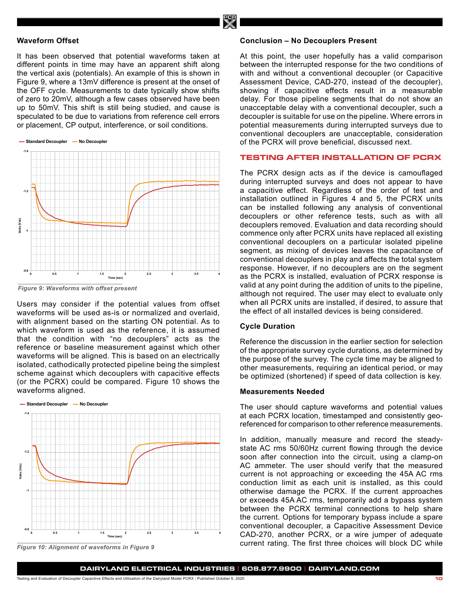#### <span id="page-9-0"></span>**Waveform Offset**

It has been observed that potential waveforms taken at different points in time may have an apparent shift along the vertical axis (potentials). An example of this is shown in Figure 9, where a 13mV difference is present at the onset of the OFF cycle. Measurements to date typically show shifts of zero to 20mV, although a few cases observed have been up to 50mV. This shift is still being studied, and cause is speculated to be due to variations from reference cell errors or placement, CP output, interference, or soil conditions. **As found**



*Figure 9: Waveforms with offset present*

Users may consider if the potential values from offset waveforms will be used as-is or normalized and overlaid, with alignment based on the starting ON potential. As to which waveform is used as the reference, it is assumed that the condition with "no decouplers" acts as the reference or baseline measurement against which other waveforms will be aligned. This is based on an electrically isolated, cathodically protected pipeline being the simplest scheme against which decouplers with capacitive effects (or the PCRX) could be compared. Figure 10 shows the (or the Forty, coald be<br>waveforms aligned. vav<del>c</del>io



*Figure 10: Alignment of waveforms in Figure 9*

#### **Conclusion – No Decouplers Present**

At this point, the user hopefully has a valid comparison between the interrupted response for the two conditions of with and without a conventional decoupler (or Capacitive Assessment Device, CAD-270, instead of the decoupler), showing if capacitive effects result in a measurable delay. For those pipeline segments that do not show an unacceptable delay with a conventional decoupler, such a decoupler is suitable for use on the pipeline. Where errors in potential measurements during interrupted surveys due to conventional decouplers are unacceptable, consideration of the PCRX will prove beneficial, discussed next.

# **TESTING AFTER INSTALLATION OF PCRX**

The PCRX design acts as if the device is camouflaged during interrupted surveys and does not appear to have a capacitive effect. Regardless of the order of test and installation outlined in Figures 4 and 5, the PCRX units can be installed following any analysis of conventional decouplers or other reference tests, such as with all decouplers removed. Evaluation and data recording should commence only after PCRX units have replaced all existing conventional decouplers on a particular isolated pipeline segment, as mixing of devices leaves the capacitance of conventional decouplers in play and affects the total system response. However, if no decouplers are on the segment as the PCRX is installed, evaluation of PCRX response is valid at any point during the addition of units to the pipeline, although not required. The user may elect to evaluate only when all PCRX units are installed, if desired, to assure that the effect of all installed devices is being considered.

#### **Cycle Duration**

Reference the discussion in the earlier section for selection of the appropriate survey cycle durations, as determined by the purpose of the survey. The cycle time may be aligned to other measurements, requiring an identical period, or may be optimized (shortened) if speed of data collection is key.

# **Measurements Needed**

The user should capture waveforms and potential values at each PCRX location, timestamped and consistently georeferenced for comparison to other reference measurements.

In addition, manually measure and record the steadystate AC rms 50/60Hz current flowing through the device soon after connection into the circuit, using a clamp-on AC ammeter. The user should verify that the measured current is not approaching or exceeding the 45A AC rms conduction limit as each unit is installed, as this could otherwise damage the PCRX. If the current approaches or exceeds 45A AC rms, temporarily add a bypass system between the PCRX terminal connections to help share the current. Options for temporary bypass include a spare conventional decoupler, a Capacitive Assessment Device CAD-270, another PCRX, or a wire jumper of adequate current rating. The first three choices will block DC while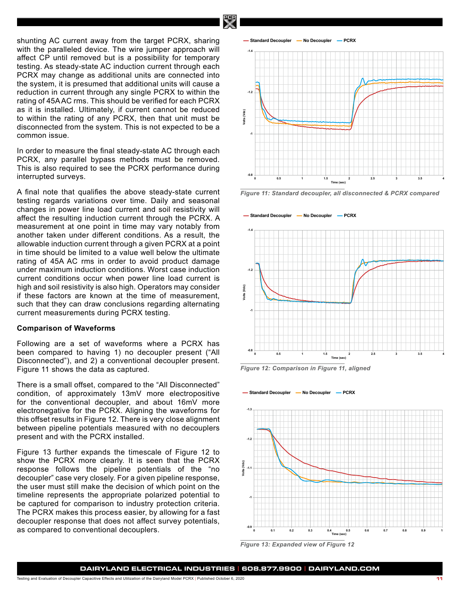<span id="page-10-0"></span>shunting AC current away from the target PCRX, sharing with the paralleled device. The wire jumper approach will affect CP until removed but is a possibility for temporary testing. As steady-state AC induction current through each PCRX may change as additional units are connected into the system, it is presumed that additional units will cause a reduction in current through any single PCRX to within the rating of 45A AC rms. This should be verified for each PCRX as it is installed. Ultimately, if current cannot be reduced to within the rating of any PCRX, then that unit must be disconnected from the system. This is not expected to be a common issue.

In order to measure the final steady-state AC through each PCRX, any parallel bypass methods must be removed. This is also required to see the PCRX performance during interrupted surveys.

A final note that qualifies the above steady-state current testing regards variations over time. Daily and seasonal changes in power line load current and soil resistivity will affect the resulting induction current through the PCRX. A measurement at one point in time may vary notably from another taken under different conditions. As a result, the allowable induction current through a given PCRX at a point in time should be limited to a value well below the ultimate rating of 45A AC rms in order to avoid product damage under maximum induction conditions. Worst case induction current conditions occur when power line load current is high and soil resistivity is also high. Operators may consider if these factors are known at the time of measurement, such that they can draw conclusions regarding alternating current measurements during PCRX testing.

#### **Comparison of Waveforms**

Following are a set of waveforms where a PCRX has been compared to having 1) no decoupler present ("All Disconnected"), and 2) a conventional decoupler present. Figure 11 shows the data as captured.

There is a small offset, compared to the "All Disconnected" condition, of approximately 13mV more electropositive for the conventional decoupler, and about 16mV more electronegative for the PCRX. Aligning the waveforms for this offset results in Figure 12. There is very close alignment between pipeline potentials measured with no decouplers present and with the PCRX installed.

Figure 13 further expands the timescale of Figure 12 to show the PCRX more clearly. It is seen that the PCRX response follows the pipeline potentials of the "no decoupler" case very closely. For a given pipeline response, the user must still make the decision of which point on the timeline represents the appropriate polarized potential to be captured for comparison to industry protection criteria. The PCRX makes this process easier, by allowing for a fast decoupler response that does not affect survey potentials, as compared to conventional decouplers.



**PIPELINE POTENTIALS**

*Figure 11: Standard decoupler, all disconnected & PCRX compared* 





**PIPELINE POTENTIALS**



*Figure 13: Expanded view of Figure 12*